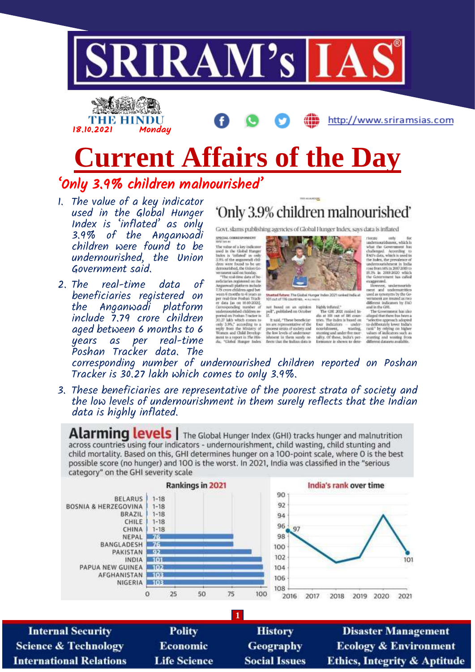



# **Current Affairs of the Day** 'Only 3.9% children malnourished'

- 1. The value of a key indicator used in the Global Hunger Index is 'inflated' as only 3.9% of the Anganwadi children were found to be undernourished, the Union Government said.
- 2. The real-time data of beneficiaries registered on the Anganwadi platform<br>include 7.79 crore children aged between 6 months to 6 per real-time years as Poshan Tracker data. The

## 'Only 3.9% children malnourished'

Govt. slams publishing agencies of Global Hunger Index, says data is inflated

are<br>grass common<br>construction with the value of a large indicator where of a large in<br>diamond in the Gobal Thursger and the conduction of the angular<br>of the value of a "infinited" as only defined the diamon value of the<br>d SPECIAL COBJESPONDERS



Stunted future: The Global Hunger Index 2021 ranked India at 101 out of 116 countries. Assumes

not based on an opinion<br>poll", published on October<br>if.

If,  $\frac{1}{n}$  and, "These beneficiaries are representative of the process strata of society and the low levels of undermostrative is then sortly affects that the indication factor that the indian data is

 $\begin{tabular}{l} \hline \textbf{high} pattern1.\\ \hline \textbf{The GHL 20C model is} \\ \hline \textbf{dis at 101} start if 16 features, the index is the index of the number of data is used on the non-thimeter, was the g, starting and under for more.\\ \hline \end{tabular}$ talliy, Of the<br>formation is f these, india's per-<br>se is shown to dete-

rlompe only Soc<br>undermourishment, which h under<br>monoidament, which is what the Government has challenged. According<br> $\approx 0$  to the later of the state of the model, the precision<br>containment in Tolds . The model of the model is the model in the model<br>model is the m

used as synonyms by the Go-<br>vernment are treated as two

vermoent are treated as two different indicators by FAO<br>and in the GML,<br>and in the GML,<br>and in the GML,<br>and a stage of the state of the state of the state of the<br>state of the state of the ratio of the ratio of the ratio<br> $\$ stuaring and westing fre-

corresponding number of undernourished children reported on Poshan Tracker is 30,27 lakh which comes to only 3,9%.

3. These beneficiaries are representative of the poorest strata of society and the low levels of undernourishment in them surely reflects that the Indian data is highly inflated.

Alarming levels | The Global Hunger Index (GHI) tracks hunger and malnutrition across countries using four indicators - undernourishment, child wasting, child stunting and child mortality. Based on this, GHI determines hunger on a 100-point scale, where 0 is the best possible score (no hunger) and 100 is the worst. In 2021, India was classified in the "serious category" on the GHI severity scale



**Science & Technology International Relations** 

Economic **Life Science** 

Geography **Social Issues** 

**Ecology & Environment Ethics, Integrity & Aptitude**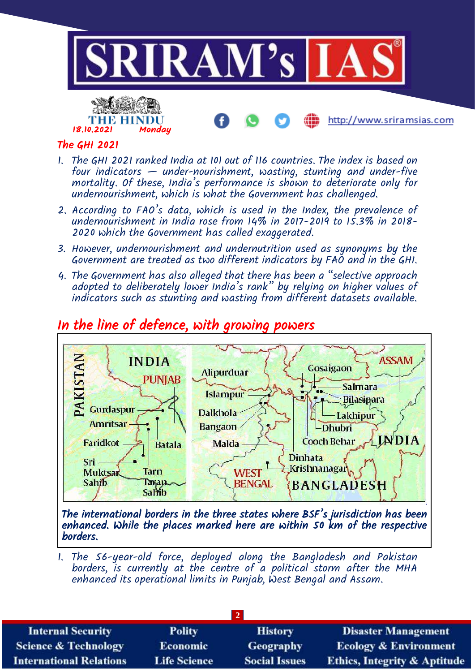

#### The GHI 2021

18.10.2021 Monday

тне німін

- 1. The GHI 2021 ranked India at 101 out of 116 countries. The index is based on four indicators  $-$  under-nourishment, wasting, stunting and under-five mortality. Of these, India's performance is shown to deteriorate only for undernourishment, which is what the Government has challenged.
- 2. According to FAO's data, which is used in the Index, the prevalence of undernourishment in India rose from 14% in 2017-2019 to 15.3% in 2018- 2020 which the Government has called exaggerated.
- 3. However, undernourishment and undernutrition used as synonyms by the Government are treated as two different indicators by FAO and in the GHI.
- 4. The Government has also alleged that there has been a "selective approach adopted to deliberately lower India's rank" by relying on higher values of indicators such as stunting and wasting from different datasets available.



### In the line of defence, with growing powers

The international borders in the three states where BSF's jurisdiction has been enhanced. While the places marked here are within 50 km of the respective borders.

1. The 56-year-old force, deployed along the Bangladesh and Pakistan borders, is currently at the centre of a political storm after the MHA enhanced its operational limits in Punjab, West Bengal and Assam.

| <b>Internal Security</b>        | <b>Polity</b>       | <b>History</b>       | <b>Disaster Management</b>              |  |  |
|---------------------------------|---------------------|----------------------|-----------------------------------------|--|--|
| <b>Science &amp; Technology</b> | <b>Economic</b>     | <b>Geography</b>     | <b>Ecology &amp; Environment</b>        |  |  |
| <b>International Relations</b>  | <b>Life Science</b> | <b>Social Issues</b> | <b>Ethics, Integrity &amp; Aptitude</b> |  |  |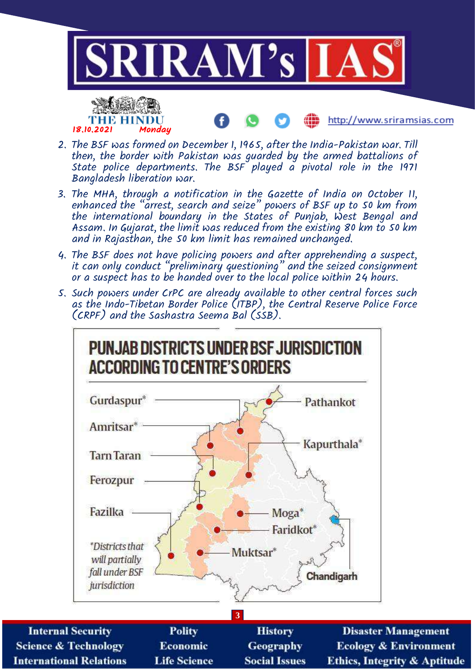

- THE HINDU 18.10.2021 Monday
- http://www.sriramsias.com
- 2. The BSF was formed on December 1, 1965, after the India-Pakistan war. Till then, the border with Pakistan was guarded by the armed battalions of State police departments. The BSF played a pivotal role in the 1971 Bangladesh liberation war.
- 3. The MHA, through a notification in the Gazette of India on October 11, enhanced the "arrest, search and seize" powers of BSF up to 50 km from the international boundary in the States of Punjab, West Bengal and Assam. In Gujarat, the limit was reduced from the existing 80 km to 50 km and in Rajasthan, the 50 km limit has remained unchanged.
- 4. The BSF does not have policing powers and after apprehending a suspect, it can only conduct "preliminary questioning" and the seized consignment or a suspect has to be handed over to the local police within 24 hours.
- 5. Such powers under CrPC are already available to other central forces such as the Indo-Tibetan Border Police (ITBP), the Central Reserve Police Force (CRPF) and the Sashastra Seema Bal (SSB).



**Ecology & Environment Ethics, Integrity & Aptitude**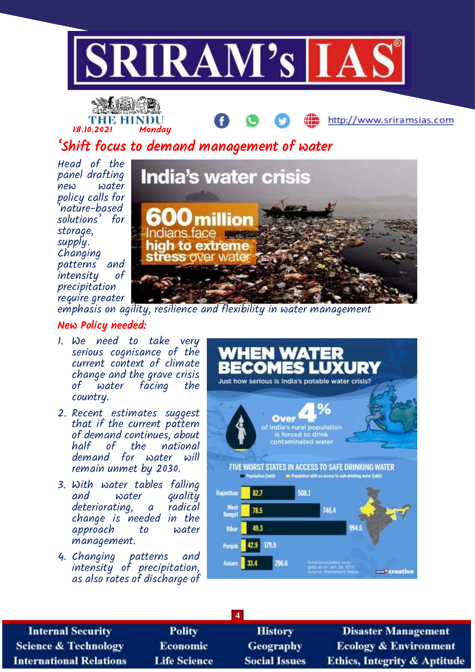



### 'Shift focus to demand management of water

Head of the panel drafting new water policy calls for 'nature-based solutions' for storage, supply. Changing patterns and<br>intensitu of intensity precipitation require greater



emphasis on agility, resilience and flexibility in water management

#### New Policy needed:

- 1. We need to take very serious cognisance of the current context of climate change and the grave crisis of water facing country.
- 2. Recent estimates suggest that if the current pattern of demand continue's, about<br>half of the national  $half$  of the demand for water will remain unmet by 2030.
- 3. With water tables falling quality<br>radical deteriorating, a change is needed in the approach to management.
- 4. Changing patterns and intensity of precipitation, as also rates of discharge of



**Internal Security Science & Technology International Relations** 

**Polity** Economic **Life Science** 

**History** Geography **Social Issues** 

**4**

**Disaster Management Ecology & Environment** Ethics, Integrity & Aptitude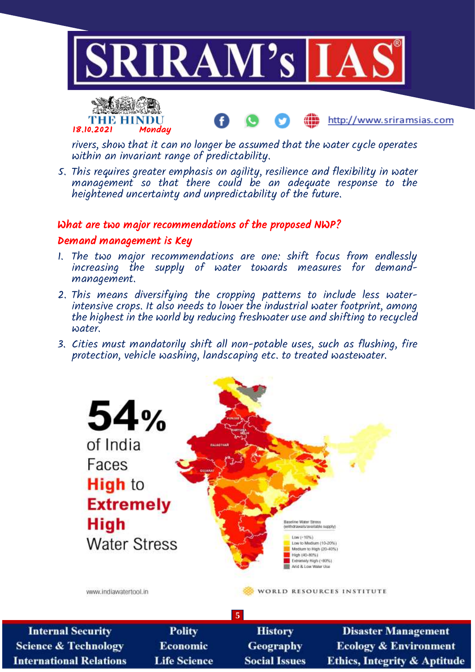



rivers, show that it can no longer be assumed that the water cycle operates within an invariant range of predictability.

http://www.sriramsias.com

5. This requires greater emphasis on agility, resilience and flexibility in water management so that there could be an adequate response to the heightened uncertainty and unpredictability of the future.

#### What are two major recommendations of the proposed NWP?

#### Demand management is Key

- 1. The two major recommendations are one: shift focus from endlessly increasing the supply of water towards measures for demandmanagement.
- 2. This means diversifying the cropping patterns to include less waterintensive crops. It also needs to lower the industrial water footprint, among the highest in the world by reducing freshwater use and shifting to recycled water.
- 3. Cities must mandatorily shift all non-potable uses, such as flushing, fire protection, vehicle washing, landscaping etc. to treated wastewater.



**5 Internal Security Polity Disaster Management History Science & Technology Economic** Geography **Ecology & Environment International Relations Life Science Social Issues Ethics, Integrity & Aptitude**